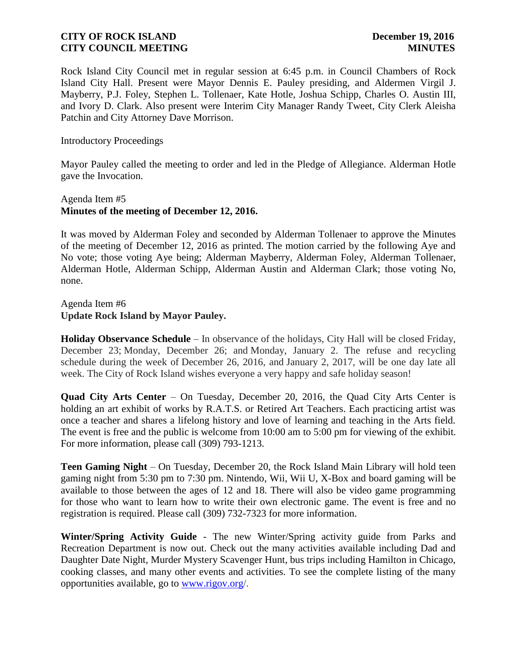Rock Island City Council met in regular session at 6:45 p.m. in Council Chambers of Rock Island City Hall. Present were Mayor Dennis E. Pauley presiding, and Aldermen Virgil J. Mayberry, P.J. Foley, Stephen L. Tollenaer, Kate Hotle, Joshua Schipp, Charles O. Austin III, and Ivory D. Clark. Also present were Interim City Manager Randy Tweet, City Clerk Aleisha Patchin and City Attorney Dave Morrison.

Introductory Proceedings

Mayor Pauley called the meeting to order and led in the Pledge of Allegiance. Alderman Hotle gave the Invocation.

# Agenda Item #5 **Minutes of the meeting of December 12, 2016.**

It was moved by Alderman Foley and seconded by Alderman Tollenaer to approve the Minutes of the meeting of December 12, 2016 as printed. The motion carried by the following Aye and No vote; those voting Aye being; Alderman Mayberry, Alderman Foley, Alderman Tollenaer, Alderman Hotle, Alderman Schipp, Alderman Austin and Alderman Clark; those voting No, none.

Agenda Item #6 **Update Rock Island by Mayor Pauley.** 

**Holiday Observance Schedule** – In observance of the holidays, City Hall will be closed Friday, December 23; Monday, December 26; and Monday, January 2. The refuse and recycling schedule during the week of December 26, 2016, and January 2, 2017, will be one day late all week. The City of Rock Island wishes everyone a very happy and safe holiday season!

**Quad City Arts Center** – On Tuesday, December 20, 2016, the Quad City Arts Center is holding an art exhibit of works by R.A.T.S. or Retired Art Teachers. Each practicing artist was once a teacher and shares a lifelong history and love of learning and teaching in the Arts field. The event is free and the public is welcome from 10:00 am to 5:00 pm for viewing of the exhibit. For more information, please call (309) 793-1213.

**Teen Gaming Night** – On Tuesday, December 20, the Rock Island Main Library will hold teen gaming night from 5:30 pm to 7:30 pm. Nintendo, Wii, Wii U, X-Box and board gaming will be available to those between the ages of 12 and 18. There will also be video game programming for those who want to learn how to write their own electronic game. The event is free and no registration is required. Please call (309) 732-7323 for more information.

**Winter/Spring Activity Guide** - The new Winter/Spring activity guide from Parks and Recreation Department is now out. Check out the many activities available including Dad and Daughter Date Night, Murder Mystery Scavenger Hunt, bus trips including Hamilton in Chicago, cooking classes, and many other events and activities. To see the complete listing of the many opportunities available, go to [www.rigov.org/](http://www.rigov.org/).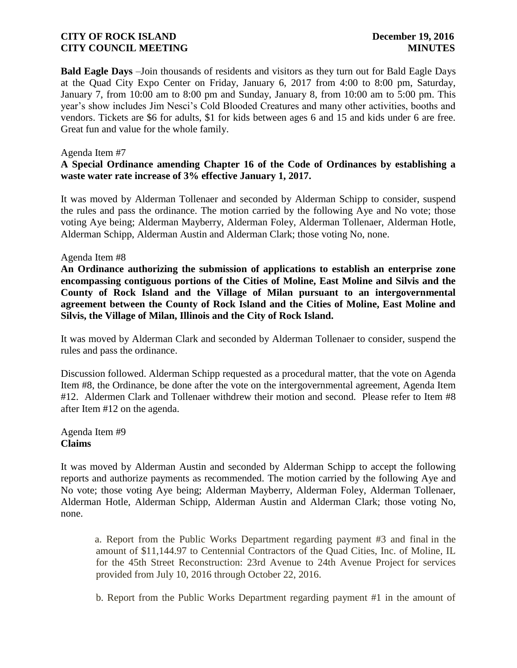**Bald Eagle Days** –Join thousands of residents and visitors as they turn out for Bald Eagle Days at the Quad City Expo Center on Friday, January 6, 2017 from 4:00 to 8:00 pm, Saturday, January 7, from 10:00 am to 8:00 pm and Sunday, January 8, from 10:00 am to 5:00 pm. This year's show includes Jim Nesci's Cold Blooded Creatures and many other activities, booths and vendors. Tickets are \$6 for adults, \$1 for kids between ages 6 and 15 and kids under 6 are free. Great fun and value for the whole family.

#### Agenda Item #7

# **A Special Ordinance amending Chapter 16 of the Code of Ordinances by establishing a waste water rate increase of 3% effective January 1, 2017.**

It was moved by Alderman Tollenaer and seconded by Alderman Schipp to consider, suspend the rules and pass the ordinance. The motion carried by the following Aye and No vote; those voting Aye being; Alderman Mayberry, Alderman Foley, Alderman Tollenaer, Alderman Hotle, Alderman Schipp, Alderman Austin and Alderman Clark; those voting No, none.

#### Agenda Item #8

**An Ordinance authorizing the submission of applications to establish an enterprise zone encompassing contiguous portions of the Cities of Moline, East Moline and Silvis and the County of Rock Island and the Village of Milan pursuant to an intergovernmental agreement between the County of Rock Island and the Cities of Moline, East Moline and Silvis, the Village of Milan, Illinois and the City of Rock Island.** 

It was moved by Alderman Clark and seconded by Alderman Tollenaer to consider, suspend the rules and pass the ordinance.

Discussion followed. Alderman Schipp requested as a procedural matter, that the vote on Agenda Item #8, the Ordinance, be done after the vote on the intergovernmental agreement, Agenda Item #12. Aldermen Clark and Tollenaer withdrew their motion and second. Please refer to Item #8 after Item #12 on the agenda.

### Agenda Item #9 **Claims**

It was moved by Alderman Austin and seconded by Alderman Schipp to accept the following reports and authorize payments as recommended. The motion carried by the following Aye and No vote; those voting Aye being; Alderman Mayberry, Alderman Foley, Alderman Tollenaer, Alderman Hotle, Alderman Schipp, Alderman Austin and Alderman Clark; those voting No, none.

a. Report from the Public Works Department regarding payment #3 and final in the amount of \$11,144.97 to Centennial Contractors of the Quad Cities, Inc. of Moline, IL for the 45th Street Reconstruction: 23rd Avenue to 24th Avenue Project for services provided from July 10, 2016 through October 22, 2016.

b. Report from the Public Works Department regarding payment #1 in the amount of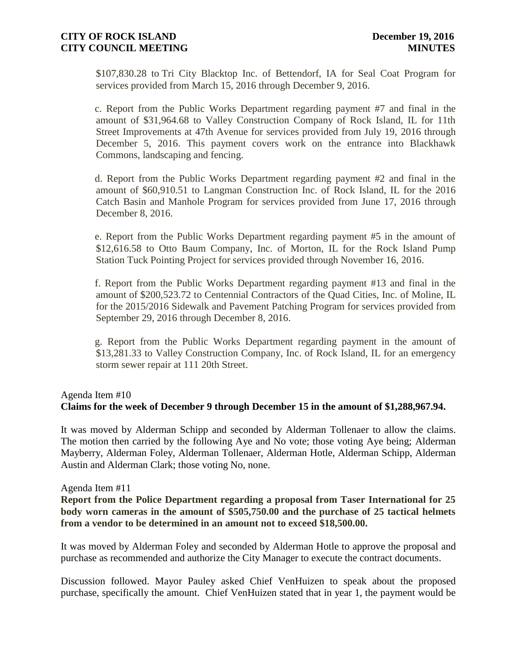\$107,830.28 to Tri City Blacktop Inc. of Bettendorf, IA for Seal Coat Program for services provided from March 15, 2016 through December 9, 2016.

c. Report from the Public Works Department regarding payment #7 and final in the amount of \$31,964.68 to Valley Construction Company of Rock Island, IL for 11th Street Improvements at 47th Avenue for services provided from July 19, 2016 through December 5, 2016. This payment covers work on the entrance into Blackhawk Commons, landscaping and fencing.

d. Report from the Public Works Department regarding payment #2 and final in the amount of \$60,910.51 to Langman Construction Inc. of Rock Island, IL for the 2016 Catch Basin and Manhole Program for services provided from June 17, 2016 through December 8, 2016.

e. Report from the Public Works Department regarding payment #5 in the amount of \$12,616.58 to Otto Baum Company, Inc. of Morton, IL for the Rock Island Pump Station Tuck Pointing Project for services provided through November 16, 2016.

f. Report from the Public Works Department regarding payment #13 and final in the amount of \$200,523.72 to Centennial Contractors of the Quad Cities, Inc. of Moline, IL for the 2015/2016 Sidewalk and Pavement Patching Program for services provided from September 29, 2016 through December 8, 2016.

g. Report from the Public Works Department regarding payment in the amount of \$13,281.33 to Valley Construction Company, Inc. of Rock Island, IL for an emergency storm sewer repair at 111 20th Street.

# Agenda Item #10 **Claims for the week of December 9 through December 15 in the amount of \$1,288,967.94.**

It was moved by Alderman Schipp and seconded by Alderman Tollenaer to allow the claims. The motion then carried by the following Aye and No vote; those voting Aye being; Alderman Mayberry, Alderman Foley, Alderman Tollenaer, Alderman Hotle, Alderman Schipp, Alderman Austin and Alderman Clark; those voting No, none.

### Agenda Item #11

**Report from the Police Department regarding a proposal from Taser International for 25 body worn cameras in the amount of \$505,750.00 and the purchase of 25 tactical helmets from a vendor to be determined in an amount not to exceed \$18,500.00.**

It was moved by Alderman Foley and seconded by Alderman Hotle to approve the proposal and purchase as recommended and authorize the City Manager to execute the contract documents.

Discussion followed. Mayor Pauley asked Chief VenHuizen to speak about the proposed purchase, specifically the amount. Chief VenHuizen stated that in year 1, the payment would be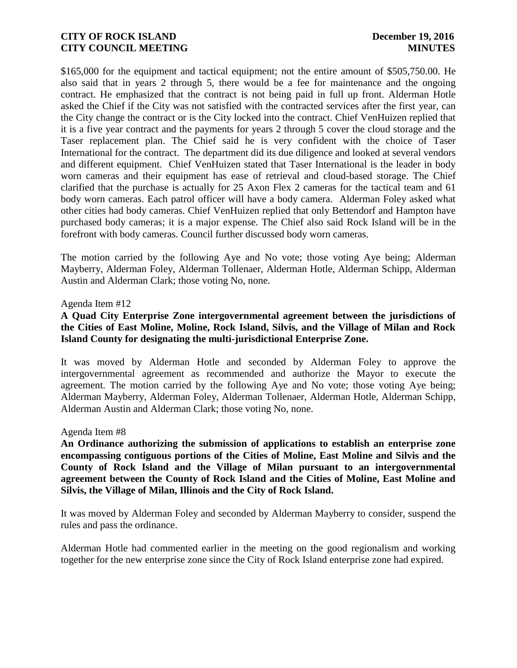\$165,000 for the equipment and tactical equipment; not the entire amount of \$505,750.00. He also said that in years 2 through 5, there would be a fee for maintenance and the ongoing contract. He emphasized that the contract is not being paid in full up front. Alderman Hotle asked the Chief if the City was not satisfied with the contracted services after the first year, can the City change the contract or is the City locked into the contract. Chief VenHuizen replied that it is a five year contract and the payments for years 2 through 5 cover the cloud storage and the Taser replacement plan. The Chief said he is very confident with the choice of Taser International for the contract. The department did its due diligence and looked at several vendors and different equipment. Chief VenHuizen stated that Taser International is the leader in body worn cameras and their equipment has ease of retrieval and cloud-based storage. The Chief clarified that the purchase is actually for 25 Axon Flex 2 cameras for the tactical team and 61 body worn cameras. Each patrol officer will have a body camera. Alderman Foley asked what other cities had body cameras. Chief VenHuizen replied that only Bettendorf and Hampton have purchased body cameras; it is a major expense. The Chief also said Rock Island will be in the forefront with body cameras. Council further discussed body worn cameras.

The motion carried by the following Aye and No vote; those voting Aye being; Alderman Mayberry, Alderman Foley, Alderman Tollenaer, Alderman Hotle, Alderman Schipp, Alderman Austin and Alderman Clark; those voting No, none.

#### Agenda Item #12

# **A Quad City Enterprise Zone intergovernmental agreement between the jurisdictions of the Cities of East Moline, Moline, Rock Island, Silvis, and the Village of Milan and Rock Island County for designating the multi-jurisdictional Enterprise Zone.**

It was moved by Alderman Hotle and seconded by Alderman Foley to approve the intergovernmental agreement as recommended and authorize the Mayor to execute the agreement. The motion carried by the following Aye and No vote; those voting Aye being; Alderman Mayberry, Alderman Foley, Alderman Tollenaer, Alderman Hotle, Alderman Schipp, Alderman Austin and Alderman Clark; those voting No, none.

#### Agenda Item #8

**An Ordinance authorizing the submission of applications to establish an enterprise zone encompassing contiguous portions of the Cities of Moline, East Moline and Silvis and the County of Rock Island and the Village of Milan pursuant to an intergovernmental agreement between the County of Rock Island and the Cities of Moline, East Moline and Silvis, the Village of Milan, Illinois and the City of Rock Island.** 

It was moved by Alderman Foley and seconded by Alderman Mayberry to consider, suspend the rules and pass the ordinance.

Alderman Hotle had commented earlier in the meeting on the good regionalism and working together for the new enterprise zone since the City of Rock Island enterprise zone had expired.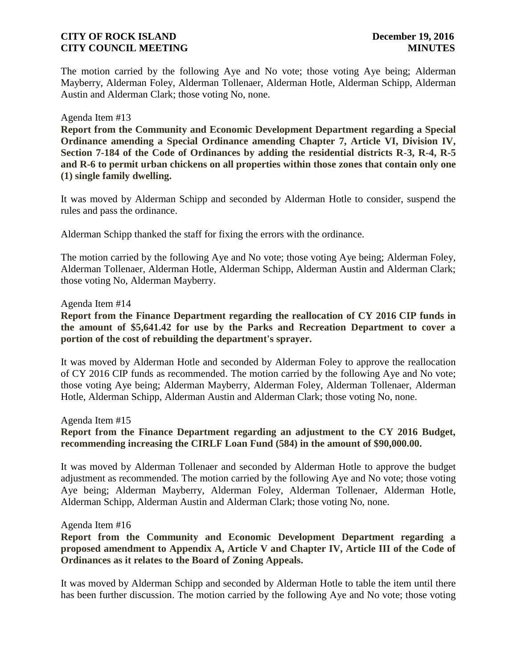The motion carried by the following Aye and No vote; those voting Aye being; Alderman Mayberry, Alderman Foley, Alderman Tollenaer, Alderman Hotle, Alderman Schipp, Alderman Austin and Alderman Clark; those voting No, none.

#### Agenda Item #13

**Report from the Community and Economic Development Department regarding a Special Ordinance amending a Special Ordinance amending Chapter 7, Article VI, Division IV, Section 7-184 of the Code of Ordinances by adding the residential districts R-3, R-4, R-5 and R-6 to permit urban chickens on all properties within those zones that contain only one (1) single family dwelling.**

It was moved by Alderman Schipp and seconded by Alderman Hotle to consider, suspend the rules and pass the ordinance.

Alderman Schipp thanked the staff for fixing the errors with the ordinance.

The motion carried by the following Aye and No vote; those voting Aye being; Alderman Foley, Alderman Tollenaer, Alderman Hotle, Alderman Schipp, Alderman Austin and Alderman Clark; those voting No, Alderman Mayberry.

#### Agenda Item #14

**Report from the Finance Department regarding the reallocation of CY 2016 CIP funds in the amount of \$5,641.42 for use by the Parks and Recreation Department to cover a portion of the cost of rebuilding the department's sprayer.**

It was moved by Alderman Hotle and seconded by Alderman Foley to approve the reallocation of CY 2016 CIP funds as recommended. The motion carried by the following Aye and No vote; those voting Aye being; Alderman Mayberry, Alderman Foley, Alderman Tollenaer, Alderman Hotle, Alderman Schipp, Alderman Austin and Alderman Clark; those voting No, none.

Agenda Item #15

**Report from the Finance Department regarding an adjustment to the CY 2016 Budget, recommending increasing the CIRLF Loan Fund (584) in the amount of \$90,000.00.**

It was moved by Alderman Tollenaer and seconded by Alderman Hotle to approve the budget adjustment as recommended. The motion carried by the following Aye and No vote; those voting Aye being; Alderman Mayberry, Alderman Foley, Alderman Tollenaer, Alderman Hotle, Alderman Schipp, Alderman Austin and Alderman Clark; those voting No, none.

#### Agenda Item #16

**Report from the Community and Economic Development Department regarding a proposed amendment to Appendix A, Article V and Chapter IV, Article III of the Code of Ordinances as it relates to the Board of Zoning Appeals.**

It was moved by Alderman Schipp and seconded by Alderman Hotle to table the item until there has been further discussion. The motion carried by the following Aye and No vote; those voting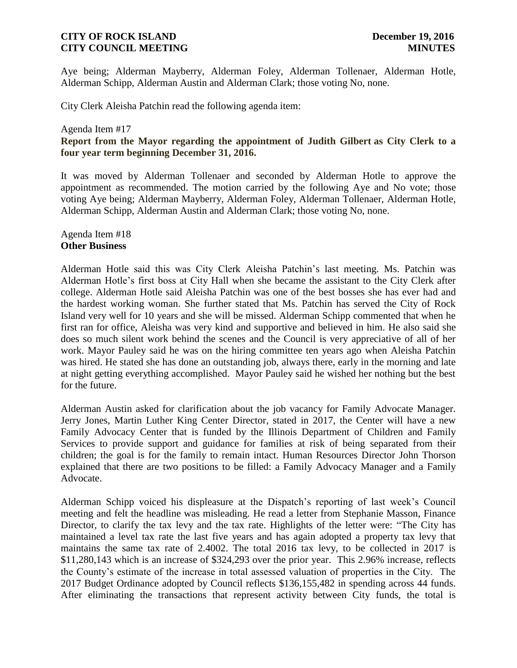Aye being; Alderman Mayberry, Alderman Foley, Alderman Tollenaer, Alderman Hotle, Alderman Schipp, Alderman Austin and Alderman Clark; those voting No, none.

City Clerk Aleisha Patchin read the following agenda item:

### Agenda Item #17 **Report from the Mayor regarding the appointment of Judith Gilbert as City Clerk to a four year term beginning December 31, 2016.**

It was moved by Alderman Tollenaer and seconded by Alderman Hotle to approve the appointment as recommended. The motion carried by the following Aye and No vote; those voting Aye being; Alderman Mayberry, Alderman Foley, Alderman Tollenaer, Alderman Hotle, Alderman Schipp, Alderman Austin and Alderman Clark; those voting No, none.

### Agenda Item #18 **Other Business**

Alderman Hotle said this was City Clerk Aleisha Patchin's last meeting. Ms. Patchin was Alderman Hotle's first boss at City Hall when she became the assistant to the City Clerk after college. Alderman Hotle said Aleisha Patchin was one of the best bosses she has ever had and the hardest working woman. She further stated that Ms. Patchin has served the City of Rock Island very well for 10 years and she will be missed. Alderman Schipp commented that when he first ran for office, Aleisha was very kind and supportive and believed in him. He also said she does so much silent work behind the scenes and the Council is very appreciative of all of her work. Mayor Pauley said he was on the hiring committee ten years ago when Aleisha Patchin was hired. He stated she has done an outstanding job, always there, early in the morning and late at night getting everything accomplished. Mayor Pauley said he wished her nothing but the best for the future.

Alderman Austin asked for clarification about the job vacancy for Family Advocate Manager. Jerry Jones, Martin Luther King Center Director, stated in 2017, the Center will have a new Family Advocacy Center that is funded by the Illinois Department of Children and Family Services to provide support and guidance for families at risk of being separated from their children; the goal is for the family to remain intact. Human Resources Director John Thorson explained that there are two positions to be filled: a Family Advocacy Manager and a Family Advocate.

Alderman Schipp voiced his displeasure at the Dispatch's reporting of last week's Council meeting and felt the headline was misleading. He read a letter from Stephanie Masson, Finance Director, to clarify the tax levy and the tax rate. Highlights of the letter were: "The City has maintained a level tax rate the last five years and has again adopted a property tax levy that maintains the same tax rate of 2.4002. The total 2016 tax levy, to be collected in 2017 is \$11,280,143 which is an increase of \$324,293 over the prior year. This 2.96% increase, reflects the County's estimate of the increase in total assessed valuation of properties in the City. The 2017 Budget Ordinance adopted by Council reflects \$136,155,482 in spending across 44 funds. After eliminating the transactions that represent activity between City funds, the total is